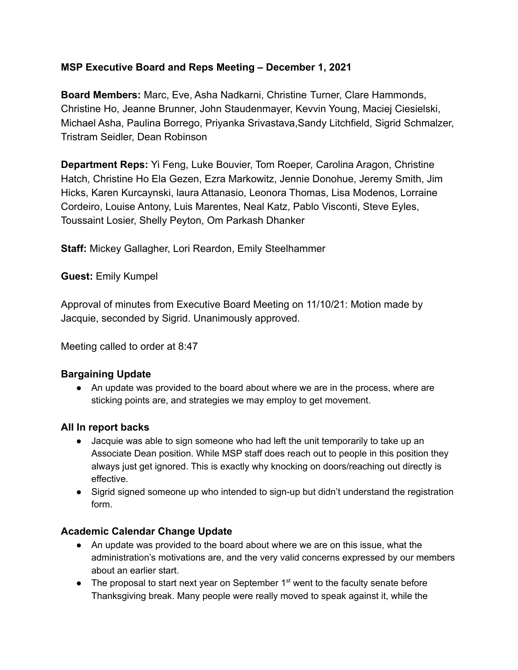### **MSP Executive Board and Reps Meeting – December 1, 2021**

**Board Members:** Marc, Eve, Asha Nadkarni, Christine Turner, Clare Hammonds, Christine Ho, Jeanne Brunner, John Staudenmayer, Kevvin Young, Maciej Ciesielski, Michael Asha, Paulina Borrego, Priyanka Srivastava,Sandy Litchfield, Sigrid Schmalzer, Tristram Seidler, Dean Robinson

**Department Reps:** Yi Feng, Luke Bouvier, Tom Roeper, Carolina Aragon, Christine Hatch, Christine Ho Ela Gezen, Ezra Markowitz, Jennie Donohue, Jeremy Smith, Jim Hicks, Karen Kurcaynski, laura Attanasio, Leonora Thomas, Lisa Modenos, Lorraine Cordeiro, Louise Antony, Luis Marentes, Neal Katz, Pablo Visconti, Steve Eyles, Toussaint Losier, Shelly Peyton, Om Parkash Dhanker

**Staff:** Mickey Gallagher, Lori Reardon, Emily Steelhammer

**Guest:** Emily Kumpel

Approval of minutes from Executive Board Meeting on 11/10/21: Motion made by Jacquie, seconded by Sigrid. Unanimously approved.

Meeting called to order at 8:47

### **Bargaining Update**

● An update was provided to the board about where we are in the process, where are sticking points are, and strategies we may employ to get movement.

# **All In report backs**

- Jacquie was able to sign someone who had left the unit temporarily to take up an Associate Dean position. While MSP staff does reach out to people in this position they always just get ignored. This is exactly why knocking on doors/reaching out directly is effective.
- Sigrid signed someone up who intended to sign-up but didn't understand the registration form.

# **Academic Calendar Change Update**

- An update was provided to the board about where we are on this issue, what the administration's motivations are, and the very valid concerns expressed by our members about an earlier start.
- $\bullet$  The proposal to start next year on September 1<sup>st</sup> went to the faculty senate before Thanksgiving break. Many people were really moved to speak against it, while the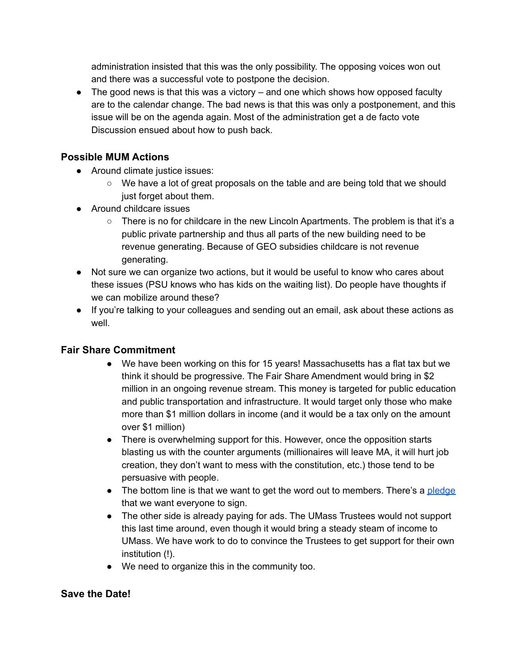administration insisted that this was the only possibility. The opposing voices won out and there was a successful vote to postpone the decision.

• The good news is that this was a victory – and one which shows how opposed faculty are to the calendar change. The bad news is that this was only a postponement, and this issue will be on the agenda again. Most of the administration get a de facto vote Discussion ensued about how to push back.

### **Possible MUM Actions**

- Around climate justice issues:
	- We have a lot of great proposals on the table and are being told that we should just forget about them.
- Around childcare issues
	- $\circ$  There is no for childcare in the new Lincoln Apartments. The problem is that it's a public private partnership and thus all parts of the new building need to be revenue generating. Because of GEO subsidies childcare is not revenue generating.
- Not sure we can organize two actions, but it would be useful to know who cares about these issues (PSU knows who has kids on the waiting list). Do people have thoughts if we can mobilize around these?
- If you're talking to your colleagues and sending out an email, ask about these actions as well.

### **Fair Share Commitment**

- We have been working on this for 15 years! Massachusetts has a flat tax but we think it should be progressive. The Fair Share Amendment would bring in \$2 million in an ongoing revenue stream. This money is targeted for public education and public transportation and infrastructure. It would target only those who make more than \$1 million dollars in income (and it would be a tax only on the amount over \$1 million)
- There is overwhelming support for this. However, once the opposition starts blasting us with the counter arguments (millionaires will leave MA, it will hurt job creation, they don't want to mess with the constitution, etc.) those tend to be persuasive with people.
- The bottom line is that we want to get the word out to members. There's a [pledge](https://massteacher.org/current-initiatives/fairshare-ma) that we want everyone to sign.
- The other side is already paying for ads. The UMass Trustees would not support this last time around, even though it would bring a steady steam of income to UMass. We have work to do to convince the Trustees to get support for their own institution (!).
- We need to organize this in the community too.

### **Save the Date!**